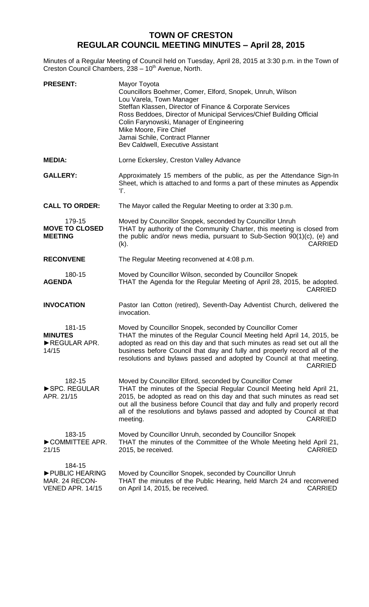## **TOWN OF CRESTON REGULAR COUNCIL MEETING MINUTES – April 28, 2015**

Minutes of a Regular Meeting of Council held on Tuesday, April 28, 2015 at 3:30 p.m. in the Town of Creston Council Chambers, 238 - 10<sup>th</sup> Avenue, North.

| <b>PRESENT:</b>                                                | Mayor Toyota<br>Councillors Boehmer, Comer, Elford, Snopek, Unruh, Wilson<br>Lou Varela, Town Manager<br>Steffan Klassen, Director of Finance & Corporate Services<br>Ross Beddoes, Director of Municipal Services/Chief Building Official<br>Colin Farynowski, Manager of Engineering<br>Mike Moore, Fire Chief<br>Jamai Schile, Contract Planner<br>Bev Caldwell, Executive Assistant             |
|----------------------------------------------------------------|-----------------------------------------------------------------------------------------------------------------------------------------------------------------------------------------------------------------------------------------------------------------------------------------------------------------------------------------------------------------------------------------------------|
| <b>MEDIA:</b>                                                  | Lorne Eckersley, Creston Valley Advance                                                                                                                                                                                                                                                                                                                                                             |
| <b>GALLERY:</b>                                                | Approximately 15 members of the public, as per the Attendance Sign-In<br>Sheet, which is attached to and forms a part of these minutes as Appendix<br>Ŧ.                                                                                                                                                                                                                                            |
| <b>CALL TO ORDER:</b>                                          | The Mayor called the Regular Meeting to order at 3:30 p.m.                                                                                                                                                                                                                                                                                                                                          |
| 179-15<br><b>MOVE TO CLOSED</b><br><b>MEETING</b>              | Moved by Councillor Snopek, seconded by Councillor Unruh<br>THAT by authority of the Community Charter, this meeting is closed from<br>the public and/or news media, pursuant to Sub-Section 90(1)(c), (e) and<br><b>CARRIED</b><br>(k).                                                                                                                                                            |
| <b>RECONVENE</b>                                               | The Regular Meeting reconvened at 4:08 p.m.                                                                                                                                                                                                                                                                                                                                                         |
| 180-15<br><b>AGENDA</b>                                        | Moved by Councillor Wilson, seconded by Councillor Snopek<br>THAT the Agenda for the Regular Meeting of April 28, 2015, be adopted.<br><b>CARRIED</b>                                                                                                                                                                                                                                               |
| <b>INVOCATION</b>                                              | Pastor Ian Cotton (retired), Seventh-Day Adventist Church, delivered the<br>invocation.                                                                                                                                                                                                                                                                                                             |
| 181-15<br><b>MINUTES</b><br>REGULAR APR.<br>14/15              | Moved by Councillor Snopek, seconded by Councillor Comer<br>THAT the minutes of the Regular Council Meeting held April 14, 2015, be<br>adopted as read on this day and that such minutes as read set out all the<br>business before Council that day and fully and properly record all of the<br>resolutions and bylaws passed and adopted by Council at that meeting.<br><b>CARRIED</b>            |
| 182-15<br>SPC. REGULAR<br>APR. 21/15                           | Moved by Councillor Elford, seconded by Councillor Comer<br>THAT the minutes of the Special Regular Council Meeting held April 21,<br>2015, be adopted as read on this day and that such minutes as read set<br>out all the business before Council that day and fully and properly record<br>all of the resolutions and bylaws passed and adopted by Council at that<br><b>CARRIED</b><br>meeting. |
| 183-15<br>COMMITTEE APR.<br>21/15                              | Moved by Councillor Unruh, seconded by Councillor Snopek<br>THAT the minutes of the Committee of the Whole Meeting held April 21,<br><b>CARRIED</b><br>2015, be received.                                                                                                                                                                                                                           |
| 184-15<br>PUBLIC HEARING<br>MAR. 24 RECON-<br>VENED APR. 14/15 | Moved by Councillor Snopek, seconded by Councillor Unruh<br>THAT the minutes of the Public Hearing, held March 24 and reconvened<br>on April 14, 2015, be received.<br><b>CARRIED</b>                                                                                                                                                                                                               |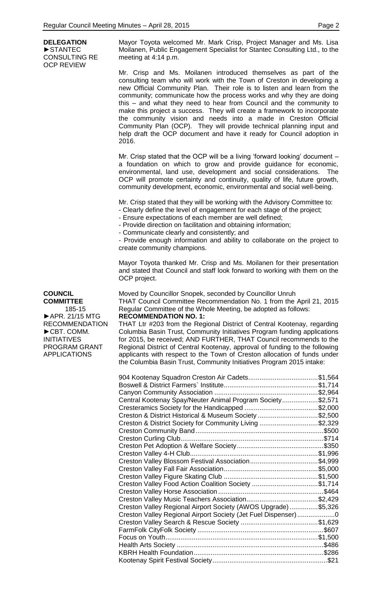**DELEGATION** ►STANTEC CONSULTING RE OCP REVIEW

Mayor Toyota welcomed Mr. Mark Crisp, Project Manager and Ms. Lisa Moilanen, Public Engagement Specialist for Stantec Consulting Ltd., to the meeting at 4:14 p.m.

Mr. Crisp and Ms. Moilanen introduced themselves as part of the consulting team who will work with the Town of Creston in developing a new Official Community Plan. Their role is to listen and learn from the community; communicate how the process works and why they are doing this – and what they need to hear from Council and the community to make this project a success. They will create a framework to incorporate the community vision and needs into a made in Creston Official Community Plan (OCP). They will provide technical planning input and help draft the OCP document and have it ready for Council adoption in 2016.

Mr. Crisp stated that the OCP will be a living "forward looking" document – a foundation on which to grow and provide guidance for economic, environmental, land use, development and social considerations. The OCP will promote certainty and continuity, quality of life, future growth, community development, economic, environmental and social well-being.

Mr. Crisp stated that they will be working with the Advisory Committee to:

- Clearly define the level of engagement for each stage of the project;

- Ensure expectations of each member are well defined;

- Provide direction on facilitation and obtaining information;

- Communicate clearly and consistently; and

- Provide enough information and ability to collaborate on the project to create community champions.

Mayor Toyota thanked Mr. Crisp and Ms. Moilanen for their presentation and stated that Council and staff look forward to working with them on the OCP project.

Moved by Councillor Snopek, seconded by Councillor Unruh

THAT Council Committee Recommendation No. 1 from the April 21, 2015 Regular Committee of the Whole Meeting, be adopted as follows: **RECOMMENDATION NO. 1:**

THAT Ltr #203 from the Regional District of Central Kootenay, regarding Columbia Basin Trust, Community Initiatives Program funding applications for 2015, be received; AND FURTHER, THAT Council recommends to the Regional District of Central Kootenay, approval of funding to the following applicants with respect to the Town of Creston allocation of funds under the Columbia Basin Trust, Community Initiatives Program 2015 intake:

| Central Kootenay Spay/Neuter Animal Program Society\$2,571    |  |
|---------------------------------------------------------------|--|
|                                                               |  |
| Creston & District Historical & Museum Society \$2,500        |  |
| Creston & District Society for Community Living \$2,329       |  |
|                                                               |  |
|                                                               |  |
|                                                               |  |
|                                                               |  |
| Creston Valley Blossom Festival Association\$4,999            |  |
|                                                               |  |
|                                                               |  |
| Creston Valley Food Action Coalition Society \$1,714          |  |
|                                                               |  |
|                                                               |  |
| Creston Valley Regional Airport Society (AWOS Upgrade)\$5,326 |  |
| Creston Valley Regional Airport Society (Jet Fuel Dispenser)0 |  |
|                                                               |  |
|                                                               |  |
|                                                               |  |
|                                                               |  |
|                                                               |  |
|                                                               |  |
|                                                               |  |

**COUNCIL COMMITTEE** 185-15 ►APR. 21/15 MTG RECOMMENDATION ►CBT. COMM. INITIATIVES PROGRAM GRANT APPLICATIONS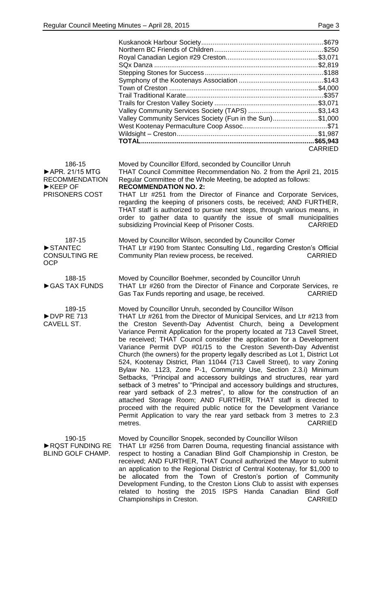|                                                                                                      | Valley Community Services Society (Fun in the Sun)\$1,000<br><b>CARRIED</b>                                                                                                                                                                                                                                                                                                                                                                                                                                                                                                                                                                                                                                                                                                                                                                                                                                                                                                                                                                                                                                                                  |
|------------------------------------------------------------------------------------------------------|----------------------------------------------------------------------------------------------------------------------------------------------------------------------------------------------------------------------------------------------------------------------------------------------------------------------------------------------------------------------------------------------------------------------------------------------------------------------------------------------------------------------------------------------------------------------------------------------------------------------------------------------------------------------------------------------------------------------------------------------------------------------------------------------------------------------------------------------------------------------------------------------------------------------------------------------------------------------------------------------------------------------------------------------------------------------------------------------------------------------------------------------|
| 186-15<br>APR. 21/15 MTG<br><b>RECOMMENDATION</b><br>$\blacktriangleright$ KEEP OF<br>PRISONERS COST | Moved by Councillor Elford, seconded by Councillor Unruh<br>THAT Council Committee Recommendation No. 2 from the April 21, 2015<br>Regular Committee of the Whole Meeting, be adopted as follows:<br><b>RECOMMENDATION NO. 2:</b><br>THAT Ltr #251 from the Director of Finance and Corporate Services,<br>regarding the keeping of prisoners costs, be received; AND FURTHER,<br>THAT staff is authorized to pursue next steps, through various means, in<br>order to gather data to quantify the issue of small municipalities<br>subsidizing Provincial Keep of Prisoner Costs.<br><b>CARRIED</b>                                                                                                                                                                                                                                                                                                                                                                                                                                                                                                                                         |
| 187-15<br>STANTEC<br><b>CONSULTING RE</b><br><b>OCP</b>                                              | Moved by Councillor Wilson, seconded by Councillor Comer<br>THAT Ltr #190 from Stantec Consulting Ltd., regarding Creston's Official<br>Community Plan review process, be received.<br><b>CARRIED</b>                                                                                                                                                                                                                                                                                                                                                                                                                                                                                                                                                                                                                                                                                                                                                                                                                                                                                                                                        |
| 188-15<br>GAS TAX FUNDS                                                                              | Moved by Councillor Boehmer, seconded by Councillor Unruh<br>THAT Ltr #260 from the Director of Finance and Corporate Services, re<br>Gas Tax Funds reporting and usage, be received.<br><b>CARRIED</b>                                                                                                                                                                                                                                                                                                                                                                                                                                                                                                                                                                                                                                                                                                                                                                                                                                                                                                                                      |
| 189-15<br>DVP RE 713<br>CAVELL ST.                                                                   | Moved by Councillor Unruh, seconded by Councillor Wilson<br>THAT Ltr #261 from the Director of Municipal Services, and Ltr #213 from<br>the Creston Seventh-Day Adventist Church, being a Development<br>Variance Permit Application for the property located at 713 Cavell Street,<br>be received; THAT Council consider the application for a Development<br>Variance Permit DVP #01/15 to the Creston Seventh-Day Adventist<br>Church (the owners) for the property legally described as Lot 1, District Lot<br>524, Kootenay District, Plan 11044 (713 Cavell Street), to vary Zoning<br>Bylaw No. 1123, Zone P-1, Community Use, Section 2.3.i) Minimum<br>Setbacks, "Principal and accessory buildings and structures, rear yard<br>setback of 3 metres" to "Principal and accessory buildings and structures,<br>rear yard setback of 2.3 metres", to allow for the construction of an<br>attached Storage Room; AND FURTHER, THAT staff is directed to<br>proceed with the required public notice for the Development Variance<br>Permit Application to vary the rear yard setback from 3 metres to 2.3<br><b>CARRIED</b><br>metres. |
| 190-15<br>RQST FUNDING RE<br><b>BLIND GOLF CHAMP.</b>                                                | Moved by Councillor Snopek, seconded by Councillor Wilson<br>THAT Ltr #256 from Darren Douma, requesting financial assistance with<br>respect to hosting a Canadian Blind Golf Championship in Creston, be<br>received; AND FURTHER, THAT Council authorized the Mayor to submit<br>an application to the Regional District of Central Kootenay, for \$1,000 to<br>be allocated from the Town of Creston's portion of Community<br>Development Funding, to the Creston Lions Club to assist with expenses<br>related to hosting the 2015 ISPS Handa Canadian<br>Blind Golf<br>Championships in Creston.<br><b>CARRIED</b>                                                                                                                                                                                                                                                                                                                                                                                                                                                                                                                    |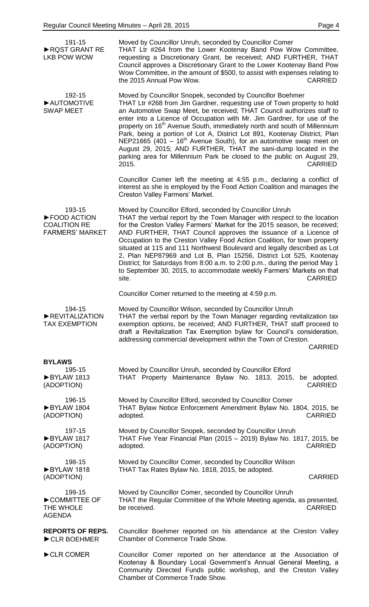| 191-15<br>RQST GRANT RE<br><b>LKB POW WOW</b>                          | Moved by Councillor Unruh, seconded by Councillor Comer<br>THAT Ltr #264 from the Lower Kootenay Band Pow Wow Committee,<br>requesting a Discretionary Grant, be received; AND FURTHER, THAT<br>Council approves a Discretionary Grant to the Lower Kootenay Band Pow<br>Wow Committee, in the amount of \$500, to assist with expenses relating to<br>the 2015 Annual Pow Wow.<br><b>CARRIED</b>                                                                                                                                                                                                                                                                                                               |
|------------------------------------------------------------------------|-----------------------------------------------------------------------------------------------------------------------------------------------------------------------------------------------------------------------------------------------------------------------------------------------------------------------------------------------------------------------------------------------------------------------------------------------------------------------------------------------------------------------------------------------------------------------------------------------------------------------------------------------------------------------------------------------------------------|
| 192-15<br>AUTOMOTIVE<br><b>SWAP MEET</b>                               | Moved by Councillor Snopek, seconded by Councillor Boehmer<br>THAT Ltr #268 from Jim Gardner, requesting use of Town property to hold<br>an Automotive Swap Meet, be received; THAT Council authorizes staff to<br>enter into a Licence of Occupation with Mr. Jim Gardner, for use of the<br>property on 16 <sup>th</sup> Avenue South, immediately north and south of Millennium<br>Park, being a portion of Lot A, District Lot 891, Kootenay District, Plan<br>NEP21665 (401 – $16th$ Avenue South), for an automotive swap meet on<br>August 29, 2015; AND FURTHER, THAT the sani-dump located in the<br>parking area for Millennium Park be closed to the public on August 29,<br>2015.<br><b>CARRIED</b> |
|                                                                        | Councillor Comer left the meeting at 4:55 p.m., declaring a conflict of<br>interest as she is employed by the Food Action Coalition and manages the<br>Creston Valley Farmers' Market.                                                                                                                                                                                                                                                                                                                                                                                                                                                                                                                          |
| 193-15<br>FOOD ACTION<br><b>COALITION RE</b><br><b>FARMERS' MARKET</b> | Moved by Councillor Elford, seconded by Councillor Unruh<br>THAT the verbal report by the Town Manager with respect to the location<br>for the Creston Valley Farmers' Market for the 2015 season, be received;<br>AND FURTHER, THAT Council approves the issuance of a Licence of<br>Occupation to the Creston Valley Food Action Coalition, for town property<br>situated at 115 and 111 Northwest Boulevard and legally described as Lot<br>2, Plan NEP87969 and Lot B, Plan 15256, District Lot 525, Kootenay<br>District; for Saturdays from 8:00 a.m. to 2:00 p.m., during the period May 1<br>to September 30, 2015, to accommodate weekly Farmers' Markets on that<br><b>CARRIED</b><br>site.           |
|                                                                        | Councillor Comer returned to the meeting at 4:59 p.m.                                                                                                                                                                                                                                                                                                                                                                                                                                                                                                                                                                                                                                                           |
| 194-15<br>REVITALIZATION<br><b>TAX EXEMPTION</b>                       | Moved by Councillor Wilson, seconded by Councillor Unruh<br>THAT the verbal report by the Town Manager regarding revitalization tax<br>exemption options, be received; AND FURTHER, THAT staff proceed to<br>draft a Revitalization Tax Exemption bylaw for Council's consideration,<br>addressing commercial development within the Town of Creston.<br><b>CARRIED</b>                                                                                                                                                                                                                                                                                                                                         |
| <b>BYLAWS</b>                                                          |                                                                                                                                                                                                                                                                                                                                                                                                                                                                                                                                                                                                                                                                                                                 |
| 195-15<br>BYLAW 1813<br>(ADOPTION)                                     | Moved by Councillor Unruh, seconded by Councillor Elford<br>THAT Property Maintenance Bylaw No. 1813, 2015,<br>be adopted.<br><b>CARRIED</b>                                                                                                                                                                                                                                                                                                                                                                                                                                                                                                                                                                    |
| 196-15<br>BYLAW 1804<br>(ADOPTION)                                     | Moved by Councillor Elford, seconded by Councillor Comer<br>THAT Bylaw Notice Enforcement Amendment Bylaw No. 1804, 2015, be<br><b>CARRIED</b><br>adopted.                                                                                                                                                                                                                                                                                                                                                                                                                                                                                                                                                      |
| 197-15<br>BYLAW 1817<br>(ADOPTION)                                     | Moved by Councillor Snopek, seconded by Councillor Unruh<br>THAT Five Year Financial Plan (2015 - 2019) Bylaw No. 1817, 2015, be<br><b>CARRIED</b><br>adopted.                                                                                                                                                                                                                                                                                                                                                                                                                                                                                                                                                  |
| 198-15<br>BYLAW 1818<br>(ADOPTION)                                     | Moved by Councillor Comer, seconded by Councillor Wilson<br>THAT Tax Rates Bylaw No. 1818, 2015, be adopted.<br><b>CARRIED</b>                                                                                                                                                                                                                                                                                                                                                                                                                                                                                                                                                                                  |
| 199-15<br>COMMITTEE OF<br>THE WHOLE<br><b>AGENDA</b>                   | Moved by Councillor Comer, seconded by Councillor Unruh<br>THAT the Regular Committee of the Whole Meeting agenda, as presented,<br>be received.<br><b>CARRIED</b>                                                                                                                                                                                                                                                                                                                                                                                                                                                                                                                                              |
| <b>REPORTS OF REPS.</b><br>CLR BOEHMER                                 | Councillor Boehmer reported on his attendance at the Creston Valley<br>Chamber of Commerce Trade Show.                                                                                                                                                                                                                                                                                                                                                                                                                                                                                                                                                                                                          |
| CLR COMER                                                              | Councillor Comer reported on her attendance at the Association of<br>Kootenay & Boundary Local Government's Annual General Meeting, a<br>Community Directed Funds public workshop, and the Creston Valley<br>Chamber of Commerce Trade Show.                                                                                                                                                                                                                                                                                                                                                                                                                                                                    |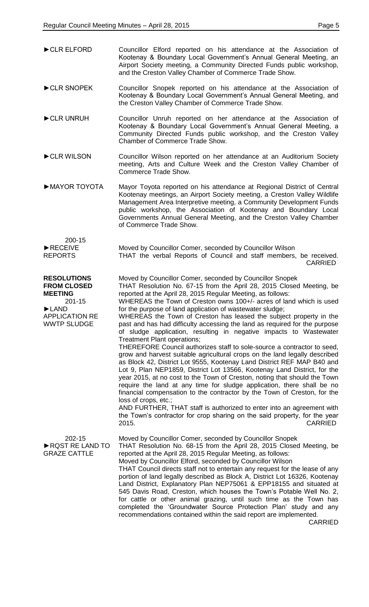| CLR ELFORD                                                                                                                      | Councillor Elford reported on his attendance at the Association of<br>Kootenay & Boundary Local Government's Annual General Meeting, an<br>Airport Society meeting, a Community Directed Funds public workshop,<br>and the Creston Valley Chamber of Commerce Trade Show.                                                                                                                                                                                                                                                                                                                                                                                                                                                                                                                                                                                                                                                                                                                                                                                                                                                                                                                                                                                                                                                                               |
|---------------------------------------------------------------------------------------------------------------------------------|---------------------------------------------------------------------------------------------------------------------------------------------------------------------------------------------------------------------------------------------------------------------------------------------------------------------------------------------------------------------------------------------------------------------------------------------------------------------------------------------------------------------------------------------------------------------------------------------------------------------------------------------------------------------------------------------------------------------------------------------------------------------------------------------------------------------------------------------------------------------------------------------------------------------------------------------------------------------------------------------------------------------------------------------------------------------------------------------------------------------------------------------------------------------------------------------------------------------------------------------------------------------------------------------------------------------------------------------------------|
| CLR SNOPEK                                                                                                                      | Councillor Snopek reported on his attendance at the Association of<br>Kootenay & Boundary Local Government's Annual General Meeting, and<br>the Creston Valley Chamber of Commerce Trade Show.                                                                                                                                                                                                                                                                                                                                                                                                                                                                                                                                                                                                                                                                                                                                                                                                                                                                                                                                                                                                                                                                                                                                                          |
| CLR UNRUH                                                                                                                       | Councillor Unruh reported on her attendance at the Association of<br>Kootenay & Boundary Local Government's Annual General Meeting, a<br>Community Directed Funds public workshop, and the Creston Valley<br>Chamber of Commerce Trade Show.                                                                                                                                                                                                                                                                                                                                                                                                                                                                                                                                                                                                                                                                                                                                                                                                                                                                                                                                                                                                                                                                                                            |
| CLR WILSON                                                                                                                      | Councillor Wilson reported on her attendance at an Auditorium Society<br>meeting, Arts and Culture Week and the Creston Valley Chamber of<br>Commerce Trade Show.                                                                                                                                                                                                                                                                                                                                                                                                                                                                                                                                                                                                                                                                                                                                                                                                                                                                                                                                                                                                                                                                                                                                                                                       |
| MAYOR TOYOTA                                                                                                                    | Mayor Toyota reported on his attendance at Regional District of Central<br>Kootenay meetings, an Airport Society meeting, a Creston Valley Wildlife<br>Management Area Interpretive meeting, a Community Development Funds<br>public workshop, the Association of Kootenay and Boundary Local<br>Governments Annual General Meeting, and the Creston Valley Chamber<br>of Commerce Trade Show.                                                                                                                                                                                                                                                                                                                                                                                                                                                                                                                                                                                                                                                                                                                                                                                                                                                                                                                                                          |
| 200-15                                                                                                                          |                                                                                                                                                                                                                                                                                                                                                                                                                                                                                                                                                                                                                                                                                                                                                                                                                                                                                                                                                                                                                                                                                                                                                                                                                                                                                                                                                         |
| RECEIVE<br><b>REPORTS</b>                                                                                                       | Moved by Councillor Comer, seconded by Councillor Wilson<br>THAT the verbal Reports of Council and staff members, be received.<br><b>CARRIED</b>                                                                                                                                                                                                                                                                                                                                                                                                                                                                                                                                                                                                                                                                                                                                                                                                                                                                                                                                                                                                                                                                                                                                                                                                        |
| <b>RESOLUTIONS</b><br><b>FROM CLOSED</b><br><b>MEETING</b><br>$201 - 15$<br>LAND<br><b>APPLICATION RE</b><br><b>WWTP SLUDGE</b> | Moved by Councillor Comer, seconded by Councillor Snopek<br>THAT Resolution No. 67-15 from the April 28, 2015 Closed Meeting, be<br>reported at the April 28, 2015 Regular Meeting, as follows:<br>WHEREAS the Town of Creston owns 100+/- acres of land which is used<br>for the purpose of land application of wastewater sludge;<br>WHEREAS the Town of Creston has leased the subject property in the<br>past and has had difficulty accessing the land as required for the purpose<br>of sludge application, resulting in negative impacts to Wastewater<br>Treatment Plant operations;<br>THEREFORE Council authorizes staff to sole-source a contractor to seed,<br>grow and harvest suitable agricultural crops on the land legally described<br>as Block 42, District Lot 9555, Kootenay Land District REF MAP B40 and<br>Lot 9, Plan NEP1859, District Lot 13566, Kootenay Land District, for the<br>year 2015, at no cost to the Town of Creston, noting that should the Town<br>require the land at any time for sludge application, there shall be no<br>financial compensation to the contractor by the Town of Creston, for the<br>loss of crops, etc.;<br>AND FURTHER, THAT staff is authorized to enter into an agreement with<br>the Town's contractor for crop sharing on the said property, for the year<br><b>CARRIED</b><br>2015. |
| 202-15<br>RQST RE LAND TO<br><b>GRAZE CATTLE</b>                                                                                | Moved by Councillor Comer, seconded by Councillor Snopek<br>THAT Resolution No. 68-15 from the April 28, 2015 Closed Meeting, be<br>reported at the April 28, 2015 Regular Meeting, as follows:<br>Moved by Councillor Elford, seconded by Councillor Wilson<br>THAT Council directs staff not to entertain any request for the lease of any<br>portion of land legally described as Block A, District Lot 16326, Kootenay<br>Land District, Explanatory Plan NEP75061 & EPP18155 and situated at<br>545 Davis Road, Creston, which houses the Town's Potable Well No. 2,<br>for cattle or other animal grazing, until such time as the Town has<br>completed the 'Groundwater Source Protection Plan' study and any<br>recommendations contained within the said report are implemented.                                                                                                                                                                                                                                                                                                                                                                                                                                                                                                                                                               |

CARRIED